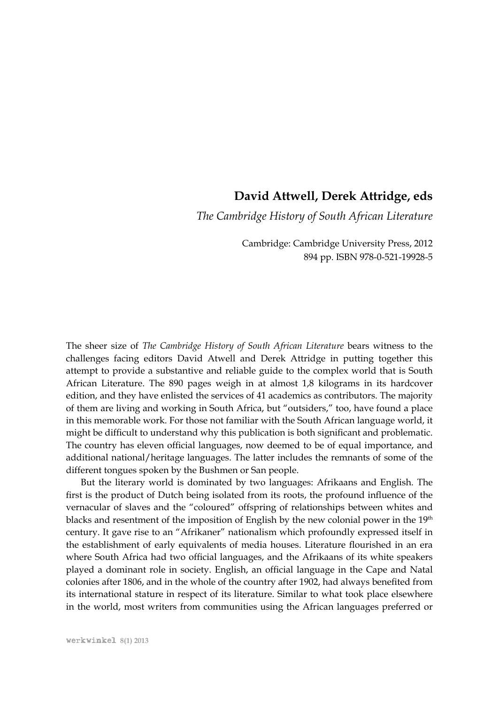## **David Attwell, Derek Attridge, eds**

*The Cambridge History of South African Literature*

Cambridge: Cambridge University Press, 2012 894 pp. ISBN 978-0-521-19928-5

The sheer size of *The Cambridge History of South African Literature* bears witness to the challenges facing editors David Atwell and Derek Attridge in putting together this attempt to provide a substantive and reliable guide to the complex world that is South African Literature. The 890 pages weigh in at almost 1,8 kilograms in its hardcover edition, and they have enlisted the services of 41 academics as contributors. The majority of them are living and working in South Africa, but "outsiders," too, have found a place in this memorable work. For those not familiar with the South African language world, it might be difficult to understand why this publication is both significant and problematic. The country has eleven official languages, now deemed to be of equal importance, and additional national/heritage languages. The latter includes the remnants of some of the different tongues spoken by the Bushmen or San people.

But the literary world is dominated by two languages: Afrikaans and English. The first is the product of Dutch being isolated from its roots, the profound influence of the vernacular of slaves and the "coloured" offspring of relationships between whites and blacks and resentment of the imposition of English by the new colonial power in the 19<sup>th</sup> century. It gave rise to an "Afrikaner" nationalism which profoundly expressed itself in the establishment of early equivalents of media houses. Literature flourished in an era where South Africa had two official languages, and the Afrikaans of its white speakers played a dominant role in society. English, an official language in the Cape and Natal colonies after 1806, and in the whole of the country after 1902, had always benefited from its international stature in respect of its literature. Similar to what took place elsewhere in the world, most writers from communities using the African languages preferred or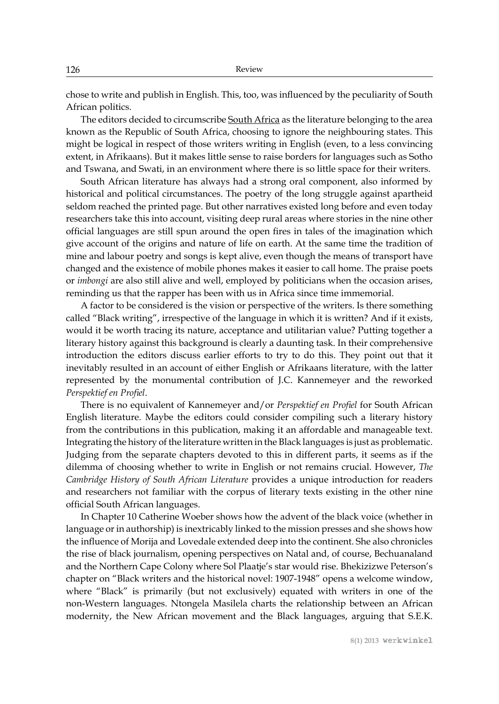chose to write and publish in English. This, too, was influenced by the peculiarity of South African politics.

The editors decided to circumscribe South Africa as the literature belonging to the area known as the Republic of South Africa, choosing to ignore the neighbouring states. This might be logical in respect of those writers writing in English (even, to a less convincing extent, in Afrikaans). But it makes little sense to raise borders for languages such as Sotho and Tswana, and Swati, in an environment where there is so little space for their writers.

South African literature has always had a strong oral component, also informed by historical and political circumstances. The poetry of the long struggle against apartheid seldom reached the printed page. But other narratives existed long before and even today researchers take this into account, visiting deep rural areas where stories in the nine other official languages are still spun around the open fires in tales of the imagination which give account of the origins and nature of life on earth. At the same time the tradition of mine and labour poetry and songs is kept alive, even though the means of transport have changed and the existence of mobile phones makes it easier to call home. The praise poets or *imbongi* are also still alive and well, employed by politicians when the occasion arises, reminding us that the rapper has been with us in Africa since time immemorial.

A factor to be considered is the vision or perspective of the writers. Is there something called "Black writing", irrespective of the language in which it is written? And if it exists, would it be worth tracing its nature, acceptance and utilitarian value? Putting together a literary history against this background is clearly a daunting task. In their comprehensive introduction the editors discuss earlier efforts to try to do this. They point out that it inevitably resulted in an account of either English or Afrikaans literature, with the latter represented by the monumental contribution of J.C. Kannemeyer and the reworked *Perspektief en Profiel*.

There is no equivalent of Kannemeyer and/or *Perspektief en Profiel* for South African English literature. Maybe the editors could consider compiling such a literary history from the contributions in this publication, making it an affordable and manageable text. Integrating the history of the literature written in the Black languages is just as problematic. Judging from the separate chapters devoted to this in different parts, it seems as if the dilemma of choosing whether to write in English or not remains crucial. However, *The Cambridge History of South African Literature* provides a unique introduction for readers and researchers not familiar with the corpus of literary texts existing in the other nine official South African languages.

In Chapter 10 Catherine Woeber shows how the advent of the black voice (whether in language or in authorship) is inextricably linked to the mission presses and she shows how the influence of Morija and Lovedale extended deep into the continent. She also chronicles the rise of black journalism, opening perspectives on Natal and, of course, Bechuanaland and the Northern Cape Colony where Sol Plaatje's star would rise. Bhekizizwe Peterson's chapter on "Black writers and the historical novel: 1907-1948" opens a welcome window, where "Black" is primarily (but not exclusively) equated with writers in one of the non-Western languages. Ntongela Masilela charts the relationship between an African modernity, the New African movement and the Black languages, arguing that S.E.K.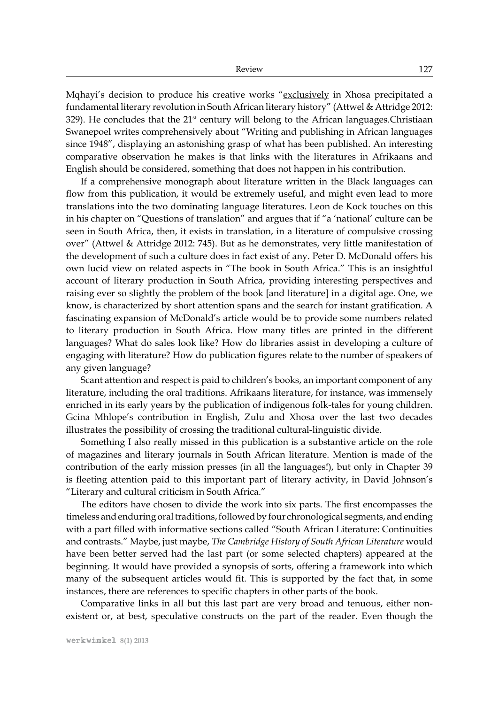Mqhayi's decision to produce his creative works "exclusively in Xhosa precipitated a fundamental literary revolution in South African literary history" (Attwel & Attridge 2012:  $329$ ). He concludes that the  $21<sup>st</sup>$  century will belong to the African languages. Christiaan Swanepoel writes comprehensively about "Writing and publishing in African languages since 1948", displaying an astonishing grasp of what has been published. An interesting comparative observation he makes is that links with the literatures in Afrikaans and English should be considered, something that does not happen in his contribution.

If a comprehensive monograph about literature written in the Black languages can flow from this publication, it would be extremely useful, and might even lead to more translations into the two dominating language literatures. Leon de Kock touches on this in his chapter on "Questions of translation" and argues that if "a 'national' culture can be seen in South Africa, then, it exists in translation, in a literature of compulsive crossing over" (Attwel & Attridge 2012: 745). But as he demonstrates, very little manifestation of the development of such a culture does in fact exist of any. Peter D. McDonald offers his own lucid view on related aspects in "The book in South Africa." This is an insightful account of literary production in South Africa, providing interesting perspectives and raising ever so slightly the problem of the book [and literature] in a digital age. One, we know, is characterized by short attention spans and the search for instant gratification. A fascinating expansion of McDonald's article would be to provide some numbers related to literary production in South Africa. How many titles are printed in the different languages? What do sales look like? How do libraries assist in developing a culture of engaging with literature? How do publication figures relate to the number of speakers of any given language?

Scant attention and respect is paid to children's books, an important component of any literature, including the oral traditions. Afrikaans literature, for instance, was immensely enriched in its early years by the publication of indigenous folk-tales for young children. Gcina Mhlope's contribution in English, Zulu and Xhosa over the last two decades illustrates the possibility of crossing the traditional cultural-linguistic divide.

Something I also really missed in this publication is a substantive article on the role of magazines and literary journals in South African literature. Mention is made of the contribution of the early mission presses (in all the languages!), but only in Chapter 39 is fleeting attention paid to this important part of literary activity, in David Johnson's "Literary and cultural criticism in South Africa."

The editors have chosen to divide the work into six parts. The first encompasses the timeless and enduring oral traditions, followed by four chronological segments, and ending with a part filled with informative sections called "South African Literature: Continuities and contrasts." Maybe, just maybe, *The Cambridge History of South African Literature* would have been better served had the last part (or some selected chapters) appeared at the beginning. It would have provided a synopsis of sorts, offering a framework into which many of the subsequent articles would fit. This is supported by the fact that, in some instances, there are references to specific chapters in other parts of the book.

Comparative links in all but this last part are very broad and tenuous, either nonexistent or, at best, speculative constructs on the part of the reader. Even though the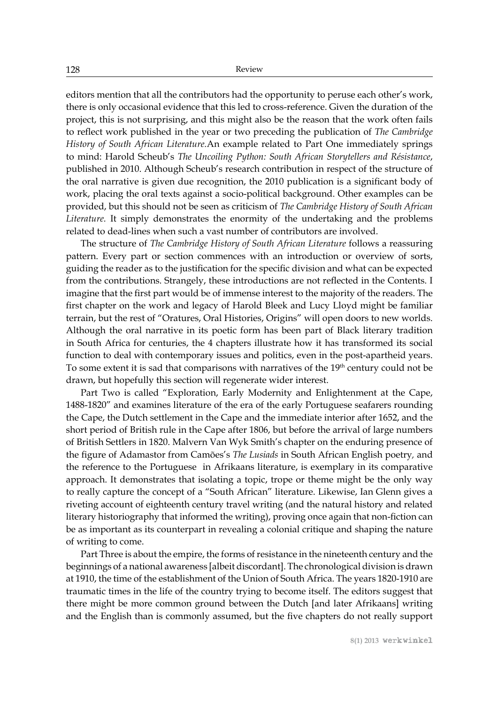editors mention that all the contributors had the opportunity to peruse each other's work, there is only occasional evidence that this led to cross-reference. Given the duration of the project, this is not surprising, and this might also be the reason that the work often fails to reflect work published in the year or two preceding the publication of *The Cambridge History of South African Literature.*An example related to Part One immediately springs to mind: Harold Scheub's *The Uncoiling Python: South African Storytellers and Résistance*, published in 2010. Although Scheub's research contribution in respect of the structure of the oral narrative is given due recognition, the 2010 publication is a significant body of work, placing the oral texts against a socio-political background. Other examples can be provided, but this should not be seen as criticism of *The Cambridge History of South African Literature.* It simply demonstrates the enormity of the undertaking and the problems related to dead-lines when such a vast number of contributors are involved.

The structure of *The Cambridge History of South African Literature* follows a reassuring pattern. Every part or section commences with an introduction or overview of sorts, guiding the reader as to the justification for the specific division and what can be expected from the contributions. Strangely, these introductions are not reflected in the Contents. I imagine that the first part would be of immense interest to the majority of the readers. The first chapter on the work and legacy of Harold Bleek and Lucy Lloyd might be familiar terrain, but the rest of "Oratures, Oral Histories, Origins" will open doors to new worlds. Although the oral narrative in its poetic form has been part of Black literary tradition in South Africa for centuries, the 4 chapters illustrate how it has transformed its social function to deal with contemporary issues and politics, even in the post-apartheid years. To some extent it is sad that comparisons with narratives of the  $19<sup>th</sup>$  century could not be drawn, but hopefully this section will regenerate wider interest.

Part Two is called "Exploration, Early Modernity and Enlightenment at the Cape, 1488-1820" and examines literature of the era of the early Portuguese seafarers rounding the Cape, the Dutch settlement in the Cape and the immediate interior after 1652, and the short period of British rule in the Cape after 1806, but before the arrival of large numbers of British Settlers in 1820. Malvern Van Wyk Smith's chapter on the enduring presence of the figure of Adamastor from Camões's *The Lusiads* in South African English poetry*,* and the reference to the Portuguese in Afrikaans literature, is exemplary in its comparative approach. It demonstrates that isolating a topic, trope or theme might be the only way to really capture the concept of a "South African" literature. Likewise, Ian Glenn gives a riveting account of eighteenth century travel writing (and the natural history and related literary historiography that informed the writing), proving once again that non-fiction can be as important as its counterpart in revealing a colonial critique and shaping the nature of writing to come.

Part Three is about the empire, the forms of resistance in the nineteenth century and the beginnings of a national awareness [albeit discordant]. The chronological division is drawn at 1910, the time of the establishment of the Union of South Africa. The years 1820-1910 are traumatic times in the life of the country trying to become itself. The editors suggest that there might be more common ground between the Dutch [and later Afrikaans] writing and the English than is commonly assumed, but the five chapters do not really support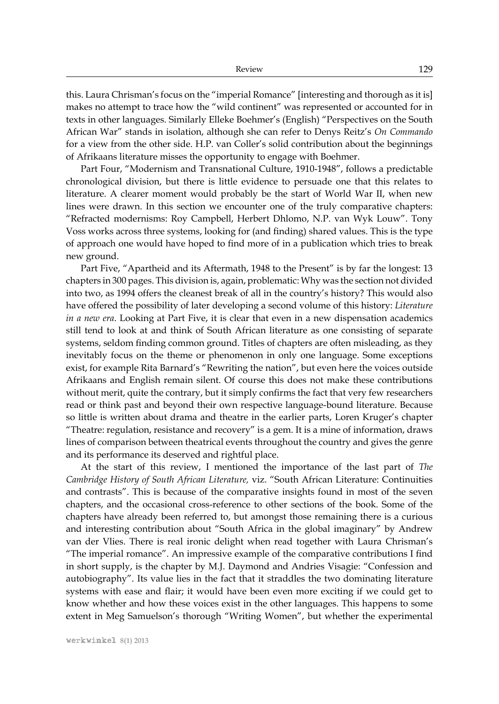this. Laura Chrisman's focus on the "imperial Romance" [interesting and thorough as it is] makes no attempt to trace how the "wild continent" was represented or accounted for in texts in other languages. Similarly Elleke Boehmer's (English) "Perspectives on the South African War" stands in isolation, although she can refer to Denys Reitz's *On Commando* for a view from the other side. H.P. van Coller's solid contribution about the beginnings of Afrikaans literature misses the opportunity to engage with Boehmer.

Part Four, "Modernism and Transnational Culture, 1910-1948", follows a predictable chronological division, but there is little evidence to persuade one that this relates to literature. A clearer moment would probably be the start of World War II, when new lines were drawn. In this section we encounter one of the truly comparative chapters: "Refracted modernisms: Roy Campbell, Herbert Dhlomo, N.P. van Wyk Louw". Tony Voss works across three systems, looking for (and finding) shared values. This is the type of approach one would have hoped to find more of in a publication which tries to break new ground.

Part Five, "Apartheid and its Aftermath, 1948 to the Present" is by far the longest: 13 chapters in 300 pages. This division is, again, problematic: Why was the section not divided into two, as 1994 offers the cleanest break of all in the country's history? This would also have offered the possibility of later developing a second volume of this history: *Literature in a new era*. Looking at Part Five, it is clear that even in a new dispensation academics still tend to look at and think of South African literature as one consisting of separate systems, seldom finding common ground. Titles of chapters are often misleading, as they inevitably focus on the theme or phenomenon in only one language. Some exceptions exist, for example Rita Barnard's "Rewriting the nation", but even here the voices outside Afrikaans and English remain silent. Of course this does not make these contributions without merit, quite the contrary, but it simply confirms the fact that very few researchers read or think past and beyond their own respective language-bound literature. Because so little is written about drama and theatre in the earlier parts, Loren Kruger's chapter "Theatre: regulation, resistance and recovery" is a gem. It is a mine of information, draws lines of comparison between theatrical events throughout the country and gives the genre and its performance its deserved and rightful place.

At the start of this review, I mentioned the importance of the last part of *The Cambridge History of South African Literature,* viz. "South African Literature: Continuities and contrasts". This is because of the comparative insights found in most of the seven chapters, and the occasional cross-reference to other sections of the book. Some of the chapters have already been referred to, but amongst those remaining there is a curious and interesting contribution about "South Africa in the global imaginary" by Andrew van der Vlies. There is real ironic delight when read together with Laura Chrisman's "The imperial romance". An impressive example of the comparative contributions I find in short supply, is the chapter by M.J. Daymond and Andries Visagie: "Confession and autobiography". Its value lies in the fact that it straddles the two dominating literature systems with ease and flair; it would have been even more exciting if we could get to know whether and how these voices exist in the other languages. This happens to some extent in Meg Samuelson's thorough "Writing Women", but whether the experimental